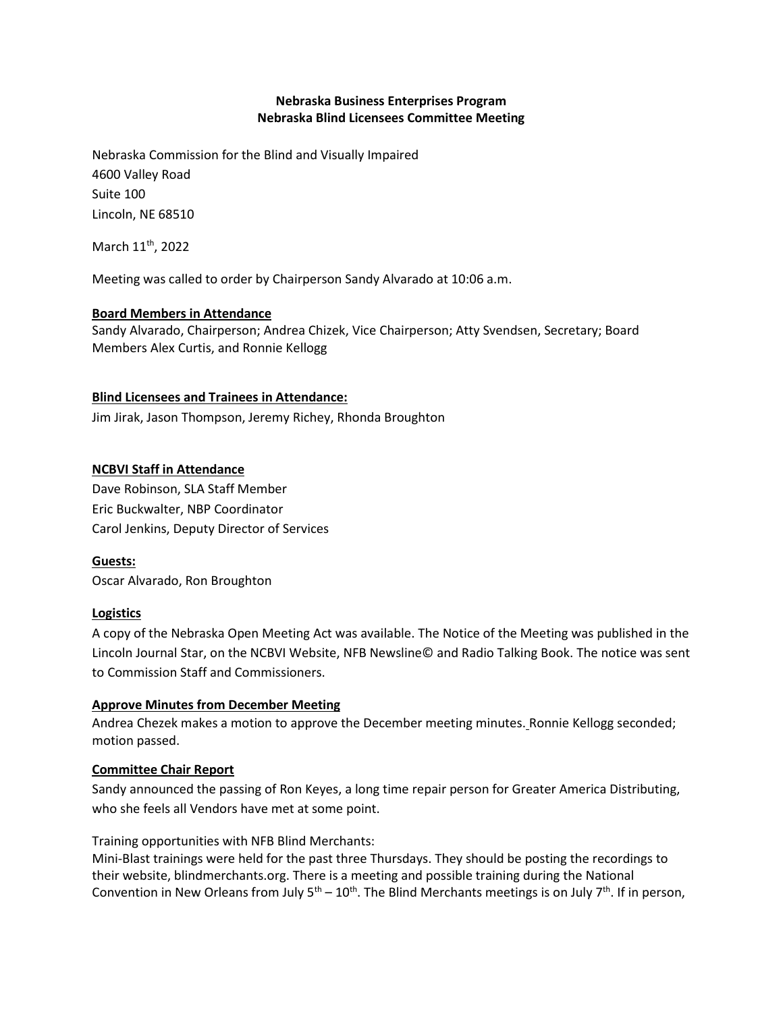# **Nebraska Business Enterprises Program Nebraska Blind Licensees Committee Meeting**

Nebraska Commission for the Blind and Visually Impaired 4600 Valley Road Suite 100 Lincoln, NE 68510

March 11<sup>th</sup>, 2022

Meeting was called to order by Chairperson Sandy Alvarado at 10:06 a.m.

# **Board Members in Attendance**

Sandy Alvarado, Chairperson; Andrea Chizek, Vice Chairperson; Atty Svendsen, Secretary; Board Members Alex Curtis, and Ronnie Kellogg

### **Blind Licensees and Trainees in Attendance:**

Jim Jirak, Jason Thompson, Jeremy Richey, Rhonda Broughton

### **NCBVI Staff in Attendance**

Dave Robinson, SLA Staff Member Eric Buckwalter, NBP Coordinator Carol Jenkins, Deputy Director of Services

**Guests:** Oscar Alvarado, Ron Broughton

#### **Logistics**

A copy of the Nebraska Open Meeting Act was available. The Notice of the Meeting was published in the Lincoln Journal Star, on the NCBVI Website, NFB Newsline© and Radio Talking Book. The notice was sent to Commission Staff and Commissioners.

#### **Approve Minutes from December Meeting**

Andrea Chezek makes a motion to approve the December meeting minutes. Ronnie Kellogg seconded; motion passed.

# **Committee Chair Report**

Sandy announced the passing of Ron Keyes, a long time repair person for Greater America Distributing, who she feels all Vendors have met at some point.

Training opportunities with NFB Blind Merchants:

Mini-Blast trainings were held for the past three Thursdays. They should be posting the recordings to their website, blindmerchants.org. There is a meeting and possible training during the National Convention in New Orleans from July  $5<sup>th</sup> - 10<sup>th</sup>$ . The Blind Merchants meetings is on July 7<sup>th</sup>. If in person,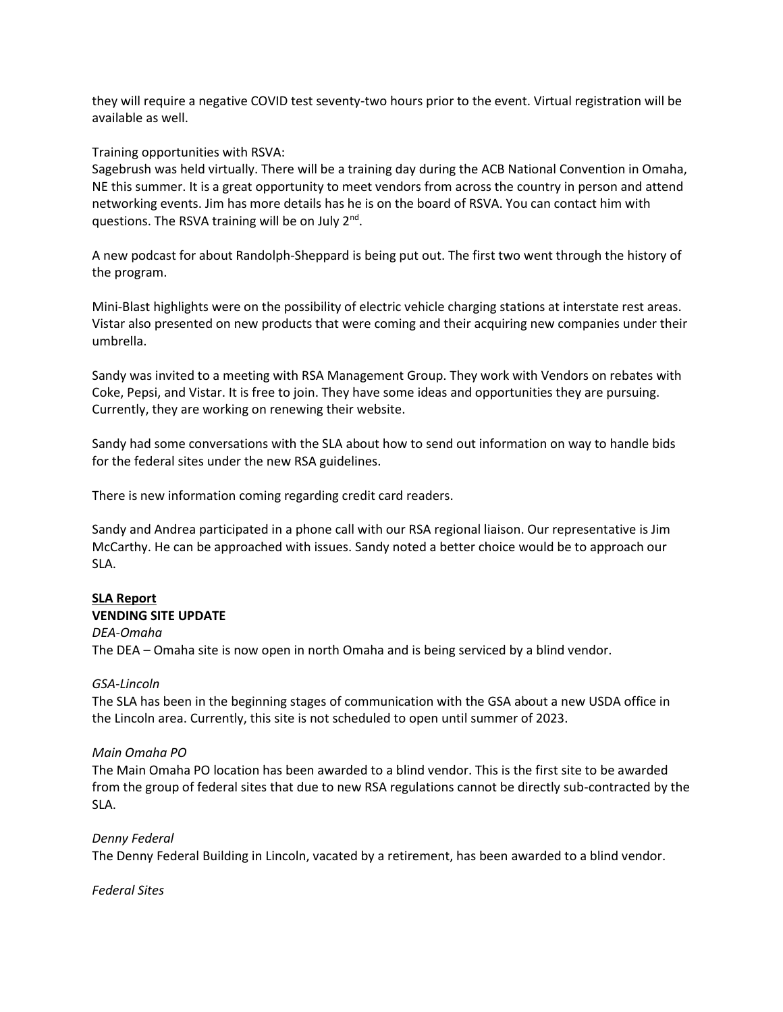they will require a negative COVID test seventy-two hours prior to the event. Virtual registration will be available as well.

### Training opportunities with RSVA:

Sagebrush was held virtually. There will be a training day during the ACB National Convention in Omaha, NE this summer. It is a great opportunity to meet vendors from across the country in person and attend networking events. Jim has more details has he is on the board of RSVA. You can contact him with questions. The RSVA training will be on July 2<sup>nd</sup>.

A new podcast for about Randolph-Sheppard is being put out. The first two went through the history of the program.

Mini-Blast highlights were on the possibility of electric vehicle charging stations at interstate rest areas. Vistar also presented on new products that were coming and their acquiring new companies under their umbrella.

Sandy was invited to a meeting with RSA Management Group. They work with Vendors on rebates with Coke, Pepsi, and Vistar. It is free to join. They have some ideas and opportunities they are pursuing. Currently, they are working on renewing their website.

Sandy had some conversations with the SLA about how to send out information on way to handle bids for the federal sites under the new RSA guidelines.

There is new information coming regarding credit card readers.

Sandy and Andrea participated in a phone call with our RSA regional liaison. Our representative is Jim McCarthy. He can be approached with issues. Sandy noted a better choice would be to approach our SLA.

### **SLA Report VENDING SITE UPDATE**

*DEA-Omaha* The DEA – Omaha site is now open in north Omaha and is being serviced by a blind vendor.

# *GSA-Lincoln*

The SLA has been in the beginning stages of communication with the GSA about a new USDA office in the Lincoln area. Currently, this site is not scheduled to open until summer of 2023.

# *Main Omaha PO*

The Main Omaha PO location has been awarded to a blind vendor. This is the first site to be awarded from the group of federal sites that due to new RSA regulations cannot be directly sub-contracted by the SLA.

# *Denny Federal*

The Denny Federal Building in Lincoln, vacated by a retirement, has been awarded to a blind vendor.

*Federal Sites*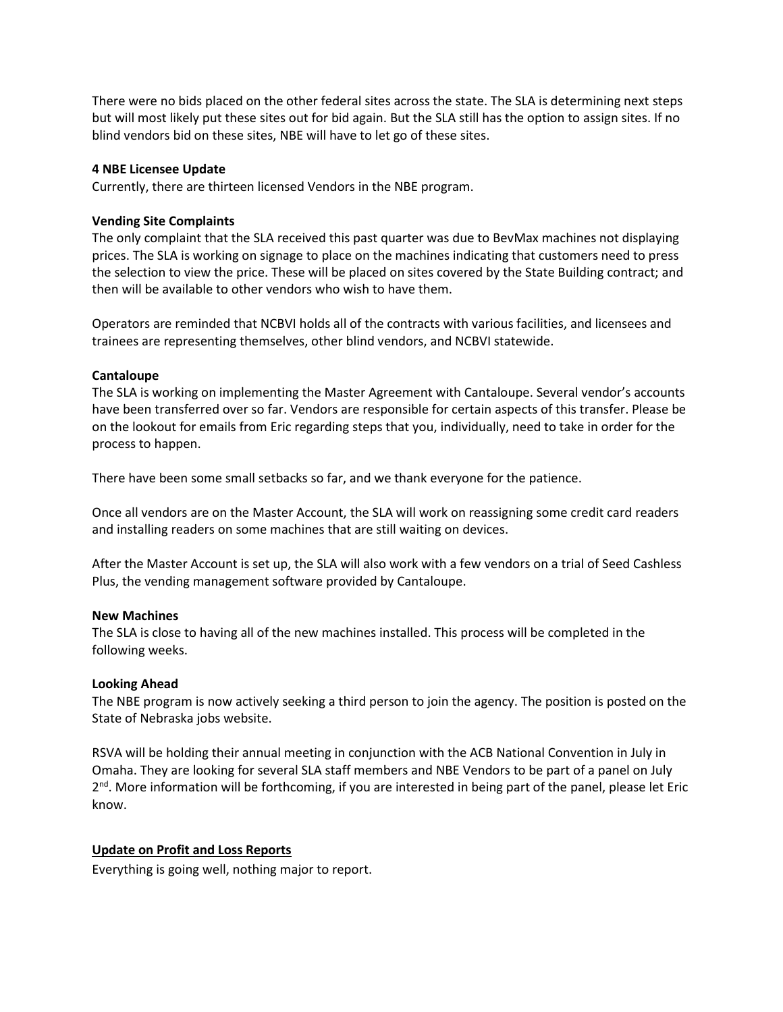There were no bids placed on the other federal sites across the state. The SLA is determining next steps but will most likely put these sites out for bid again. But the SLA still has the option to assign sites. If no blind vendors bid on these sites, NBE will have to let go of these sites.

### **4 NBE Licensee Update**

Currently, there are thirteen licensed Vendors in the NBE program.

### **Vending Site Complaints**

The only complaint that the SLA received this past quarter was due to BevMax machines not displaying prices. The SLA is working on signage to place on the machines indicating that customers need to press the selection to view the price. These will be placed on sites covered by the State Building contract; and then will be available to other vendors who wish to have them.

Operators are reminded that NCBVI holds all of the contracts with various facilities, and licensees and trainees are representing themselves, other blind vendors, and NCBVI statewide.

### **Cantaloupe**

The SLA is working on implementing the Master Agreement with Cantaloupe. Several vendor's accounts have been transferred over so far. Vendors are responsible for certain aspects of this transfer. Please be on the lookout for emails from Eric regarding steps that you, individually, need to take in order for the process to happen.

There have been some small setbacks so far, and we thank everyone for the patience.

Once all vendors are on the Master Account, the SLA will work on reassigning some credit card readers and installing readers on some machines that are still waiting on devices.

After the Master Account is set up, the SLA will also work with a few vendors on a trial of Seed Cashless Plus, the vending management software provided by Cantaloupe.

#### **New Machines**

The SLA is close to having all of the new machines installed. This process will be completed in the following weeks.

# **Looking Ahead**

The NBE program is now actively seeking a third person to join the agency. The position is posted on the State of Nebraska jobs website.

RSVA will be holding their annual meeting in conjunction with the ACB National Convention in July in Omaha. They are looking for several SLA staff members and NBE Vendors to be part of a panel on July 2<sup>nd</sup>. More information will be forthcoming, if you are interested in being part of the panel, please let Eric know.

# **Update on Profit and Loss Reports**

Everything is going well, nothing major to report.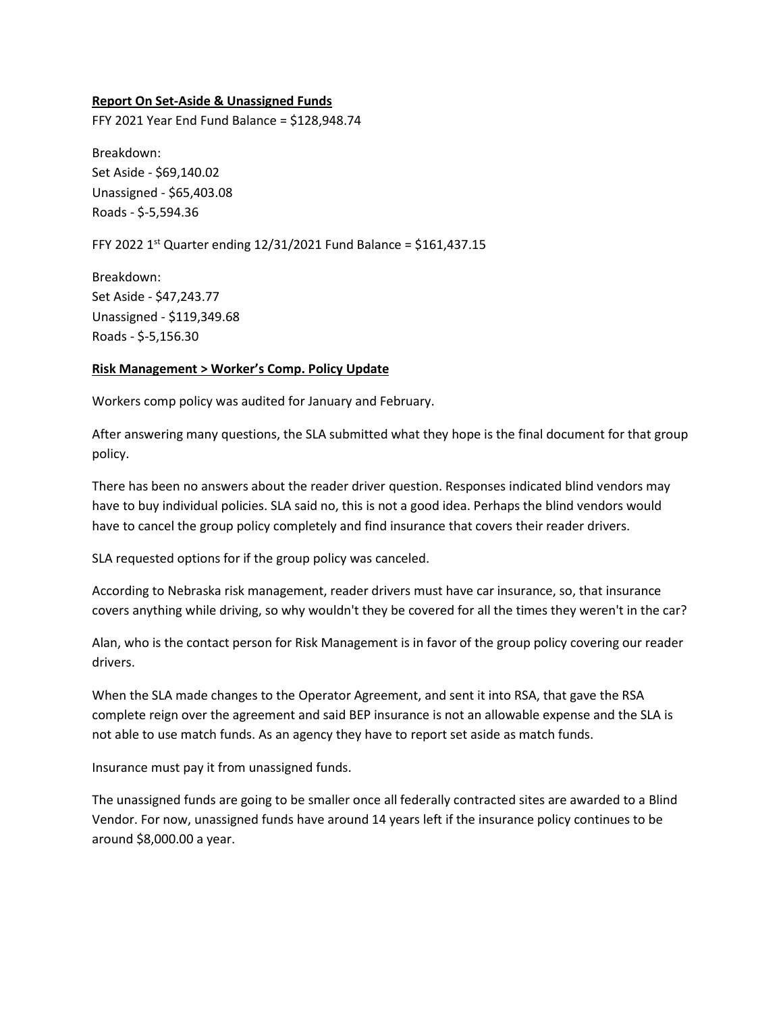#### **Report On Set-Aside & Unassigned Funds**

FFY 2021 Year End Fund Balance = \$128,948.74

Breakdown: Set Aside - \$69,140.02 Unassigned - \$65,403.08 Roads - \$-5,594.36

FFY 2022 1<sup>st</sup> Quarter ending 12/31/2021 Fund Balance = \$161,437.15

Breakdown: Set Aside - \$47,243.77 Unassigned - \$119,349.68 Roads - \$-5,156.30

#### **Risk Management > Worker's Comp. Policy Update**

Workers comp policy was audited for January and February.

After answering many questions, the SLA submitted what they hope is the final document for that group policy.

There has been no answers about the reader driver question. Responses indicated blind vendors may have to buy individual policies. SLA said no, this is not a good idea. Perhaps the blind vendors would have to cancel the group policy completely and find insurance that covers their reader drivers.

SLA requested options for if the group policy was canceled.

According to Nebraska risk management, reader drivers must have car insurance, so, that insurance covers anything while driving, so why wouldn't they be covered for all the times they weren't in the car?

Alan, who is the contact person for Risk Management is in favor of the group policy covering our reader drivers.

When the SLA made changes to the Operator Agreement, and sent it into RSA, that gave the RSA complete reign over the agreement and said BEP insurance is not an allowable expense and the SLA is not able to use match funds. As an agency they have to report set aside as match funds.

Insurance must pay it from unassigned funds.

The unassigned funds are going to be smaller once all federally contracted sites are awarded to a Blind Vendor. For now, unassigned funds have around 14 years left if the insurance policy continues to be around \$8,000.00 a year.